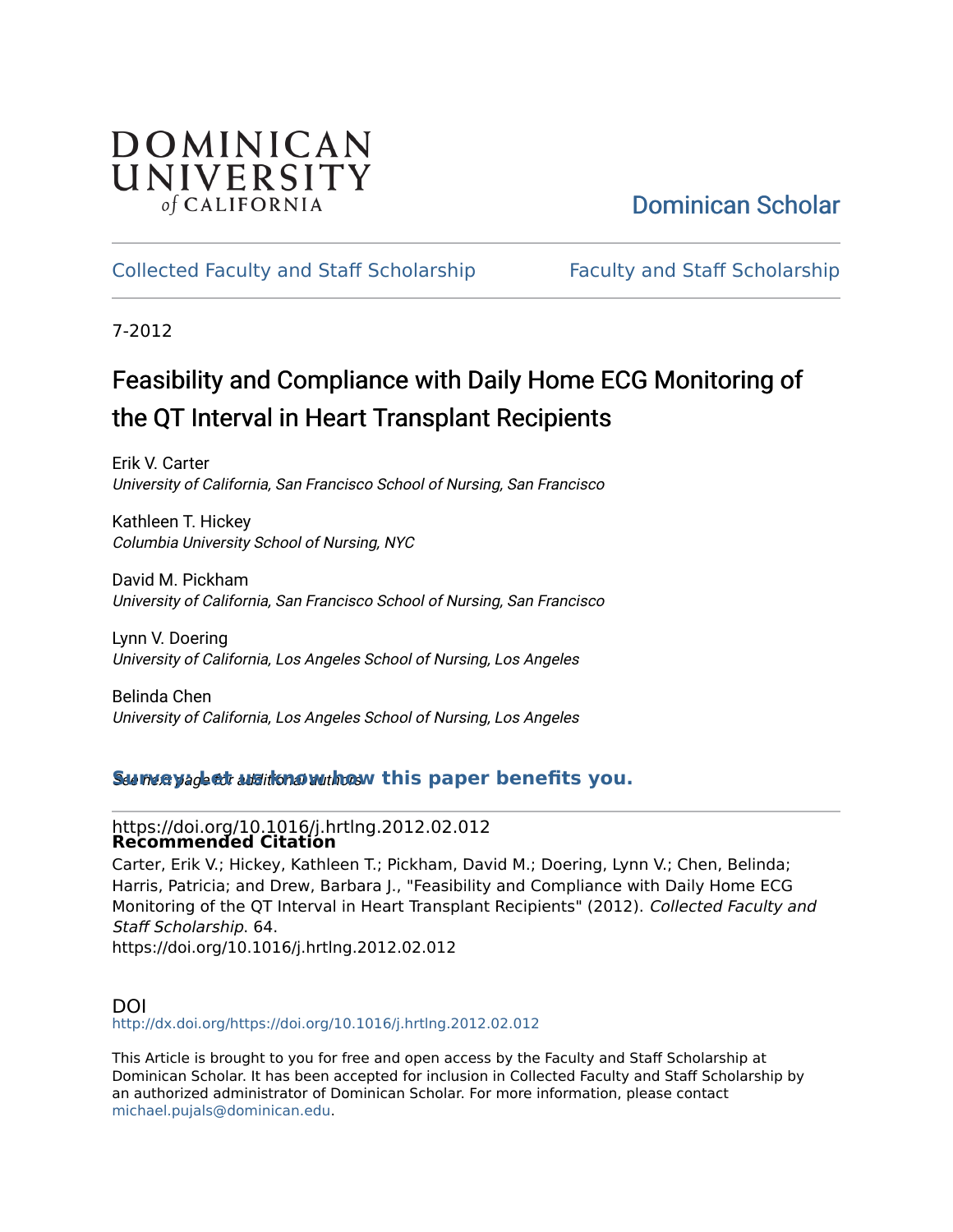## DOMINICAN UNIVERSITY of CALIFORNIA

## [Dominican Scholar](https://scholar.dominican.edu/)

### [Collected Faculty and Staff Scholarship](https://scholar.dominican.edu/all-faculty) [Faculty and Staff Scholarship](https://scholar.dominican.edu/faculty-scholarship)

7-2012

## Feasibility and Compliance with Daily Home ECG Monitoring of the QT Interval in Heart Transplant Recipients

Erik V. Carter University of California, San Francisco School of Nursing, San Francisco

Kathleen T. Hickey Columbia University School of Nursing, NYC

David M. Pickham University of California, San Francisco School of Nursing, San Francisco

Lynn V. Doering University of California, Los Angeles School of Nursing, Los Angeles

Belinda Chen University of California, Los Angeles School of Nursing, Los Angeles

#### See next page for additional authors **[Survey: Let us know how this paper benefits you.](https://dominican.libwizard.com/dominican-scholar-feedback)**

#### https://doi.org/10.1016/j.hrtlng.2012.02.012 **Recommended Citation**

Carter, Erik V.; Hickey, Kathleen T.; Pickham, David M.; Doering, Lynn V.; Chen, Belinda; Harris, Patricia; and Drew, Barbara J., "Feasibility and Compliance with Daily Home ECG Monitoring of the QT Interval in Heart Transplant Recipients" (2012). Collected Faculty and Staff Scholarship. 64.

https://doi.org/10.1016/j.hrtlng.2012.02.012

#### DOI <http://dx.doi.org/https://doi.org/10.1016/j.hrtlng.2012.02.012>

This Article is brought to you for free and open access by the Faculty and Staff Scholarship at Dominican Scholar. It has been accepted for inclusion in Collected Faculty and Staff Scholarship by an authorized administrator of Dominican Scholar. For more information, please contact [michael.pujals@dominican.edu.](mailto:michael.pujals@dominican.edu)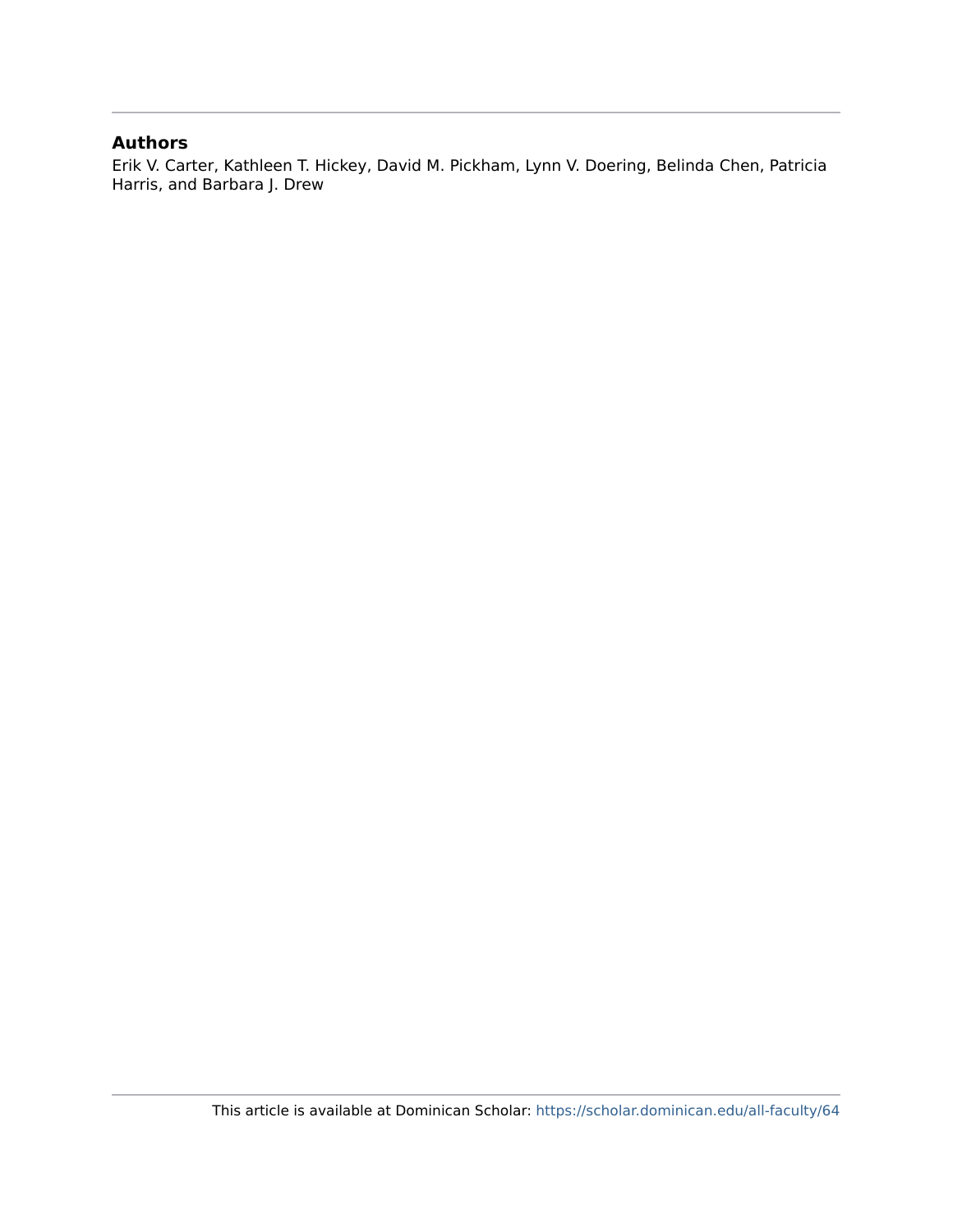#### **Authors**

Erik V. Carter, Kathleen T. Hickey, David M. Pickham, Lynn V. Doering, Belinda Chen, Patricia Harris, and Barbara J. Drew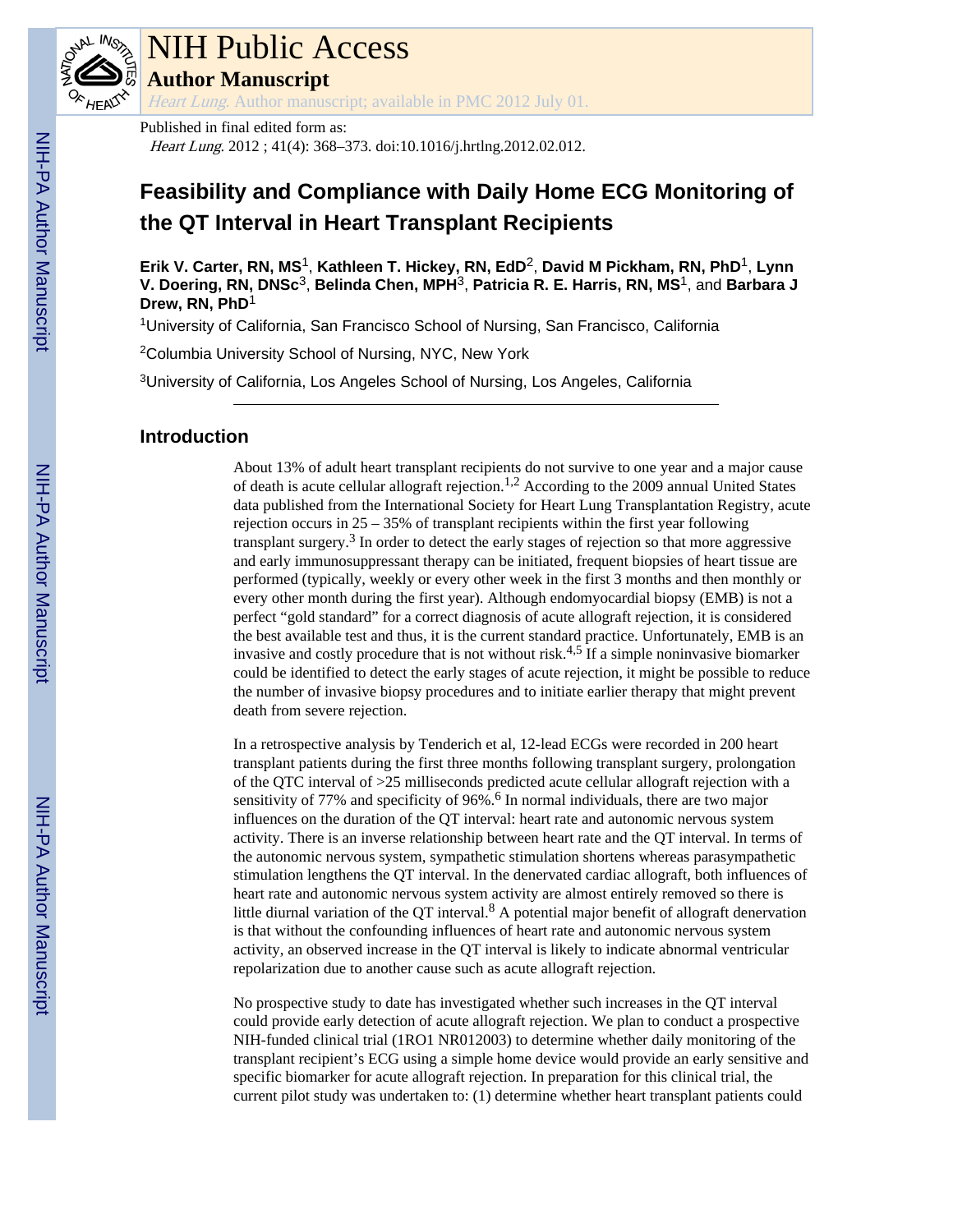

# NIH Public Access

**Author Manuscript**

Heart Lung. Author manuscript; available in PMC 2012 July 01.

Published in final edited form as: Heart Lung. 2012; 41(4): 368–373. doi:10.1016/j.hrtlng.2012.02.012.

## **Feasibility and Compliance with Daily Home ECG Monitoring of the QT Interval in Heart Transplant Recipients**

**Erik V. Carter, RN, MS**1, **Kathleen T. Hickey, RN, EdD**2, **David M Pickham, RN, PhD**1, **Lynn V. Doering, RN, DNSc**3, **Belinda Chen, MPH**3, **Patricia R. E. Harris, RN, MS**1, and **Barbara J Drew, RN, PhD**<sup>1</sup>

<sup>1</sup>University of California, San Francisco School of Nursing, San Francisco, California

<sup>2</sup>Columbia University School of Nursing, NYC, New York

<sup>3</sup>University of California, Los Angeles School of Nursing, Los Angeles, California

#### **Introduction**

About 13% of adult heart transplant recipients do not survive to one year and a major cause of death is acute cellular allograft rejection.1,2 According to the 2009 annual United States data published from the International Society for Heart Lung Transplantation Registry, acute rejection occurs in 25 – 35% of transplant recipients within the first year following transplant surgery.<sup>3</sup> In order to detect the early stages of rejection so that more aggressive and early immunosuppressant therapy can be initiated, frequent biopsies of heart tissue are performed (typically, weekly or every other week in the first 3 months and then monthly or every other month during the first year). Although endomyocardial biopsy (EMB) is not a perfect "gold standard" for a correct diagnosis of acute allograft rejection, it is considered the best available test and thus, it is the current standard practice. Unfortunately, EMB is an invasive and costly procedure that is not without risk.<sup>4,5</sup> If a simple noninvasive biomarker could be identified to detect the early stages of acute rejection, it might be possible to reduce the number of invasive biopsy procedures and to initiate earlier therapy that might prevent death from severe rejection.

In a retrospective analysis by Tenderich et al, 12-lead ECGs were recorded in 200 heart transplant patients during the first three months following transplant surgery, prolongation of the QTC interval of >25 milliseconds predicted acute cellular allograft rejection with a sensitivity of 77% and specificity of 96%.<sup>6</sup> In normal individuals, there are two major influences on the duration of the QT interval: heart rate and autonomic nervous system activity. There is an inverse relationship between heart rate and the QT interval. In terms of the autonomic nervous system, sympathetic stimulation shortens whereas parasympathetic stimulation lengthens the QT interval. In the denervated cardiac allograft, both influences of heart rate and autonomic nervous system activity are almost entirely removed so there is little diurnal variation of the QT interval.<sup>8</sup> A potential major benefit of allograft denervation is that without the confounding influences of heart rate and autonomic nervous system activity, an observed increase in the QT interval is likely to indicate abnormal ventricular repolarization due to another cause such as acute allograft rejection.

No prospective study to date has investigated whether such increases in the QT interval could provide early detection of acute allograft rejection. We plan to conduct a prospective NIH-funded clinical trial (1RO1 NR012003) to determine whether daily monitoring of the transplant recipient's ECG using a simple home device would provide an early sensitive and specific biomarker for acute allograft rejection. In preparation for this clinical trial, the current pilot study was undertaken to: (1) determine whether heart transplant patients could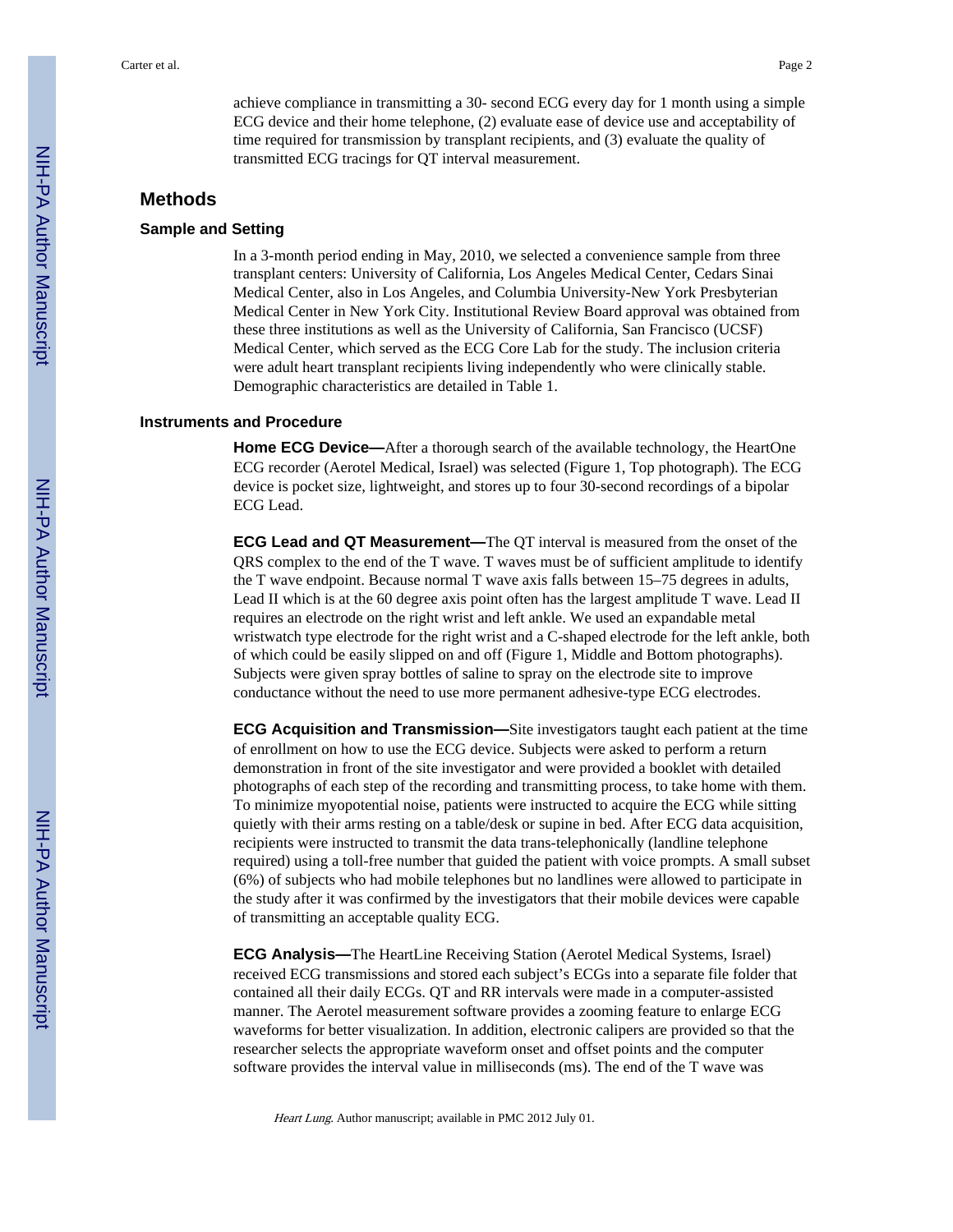achieve compliance in transmitting a 30- second ECG every day for 1 month using a simple ECG device and their home telephone, (2) evaluate ease of device use and acceptability of time required for transmission by transplant recipients, and (3) evaluate the quality of transmitted ECG tracings for QT interval measurement.

#### **Methods**

#### **Sample and Setting**

In a 3-month period ending in May, 2010, we selected a convenience sample from three transplant centers: University of California, Los Angeles Medical Center, Cedars Sinai Medical Center, also in Los Angeles, and Columbia University-New York Presbyterian Medical Center in New York City. Institutional Review Board approval was obtained from these three institutions as well as the University of California, San Francisco (UCSF) Medical Center, which served as the ECG Core Lab for the study. The inclusion criteria were adult heart transplant recipients living independently who were clinically stable. Demographic characteristics are detailed in Table 1.

#### **Instruments and Procedure**

**Home ECG Device—**After a thorough search of the available technology, the HeartOne ECG recorder (Aerotel Medical, Israel) was selected (Figure 1, Top photograph). The ECG device is pocket size, lightweight, and stores up to four 30-second recordings of a bipolar ECG Lead.

**ECG Lead and QT Measurement—**The QT interval is measured from the onset of the QRS complex to the end of the T wave. T waves must be of sufficient amplitude to identify the T wave endpoint. Because normal T wave axis falls between 15–75 degrees in adults, Lead II which is at the 60 degree axis point often has the largest amplitude T wave. Lead II requires an electrode on the right wrist and left ankle. We used an expandable metal wristwatch type electrode for the right wrist and a C-shaped electrode for the left ankle, both of which could be easily slipped on and off (Figure 1, Middle and Bottom photographs). Subjects were given spray bottles of saline to spray on the electrode site to improve conductance without the need to use more permanent adhesive-type ECG electrodes.

**ECG Acquisition and Transmission—**Site investigators taught each patient at the time of enrollment on how to use the ECG device. Subjects were asked to perform a return demonstration in front of the site investigator and were provided a booklet with detailed photographs of each step of the recording and transmitting process, to take home with them. To minimize myopotential noise, patients were instructed to acquire the ECG while sitting quietly with their arms resting on a table/desk or supine in bed. After ECG data acquisition, recipients were instructed to transmit the data trans-telephonically (landline telephone required) using a toll-free number that guided the patient with voice prompts. A small subset (6%) of subjects who had mobile telephones but no landlines were allowed to participate in the study after it was confirmed by the investigators that their mobile devices were capable of transmitting an acceptable quality ECG.

**ECG Analysis—**The HeartLine Receiving Station (Aerotel Medical Systems, Israel) received ECG transmissions and stored each subject's ECGs into a separate file folder that contained all their daily ECGs. QT and RR intervals were made in a computer-assisted manner. The Aerotel measurement software provides a zooming feature to enlarge ECG waveforms for better visualization. In addition, electronic calipers are provided so that the researcher selects the appropriate waveform onset and offset points and the computer software provides the interval value in milliseconds (ms). The end of the T wave was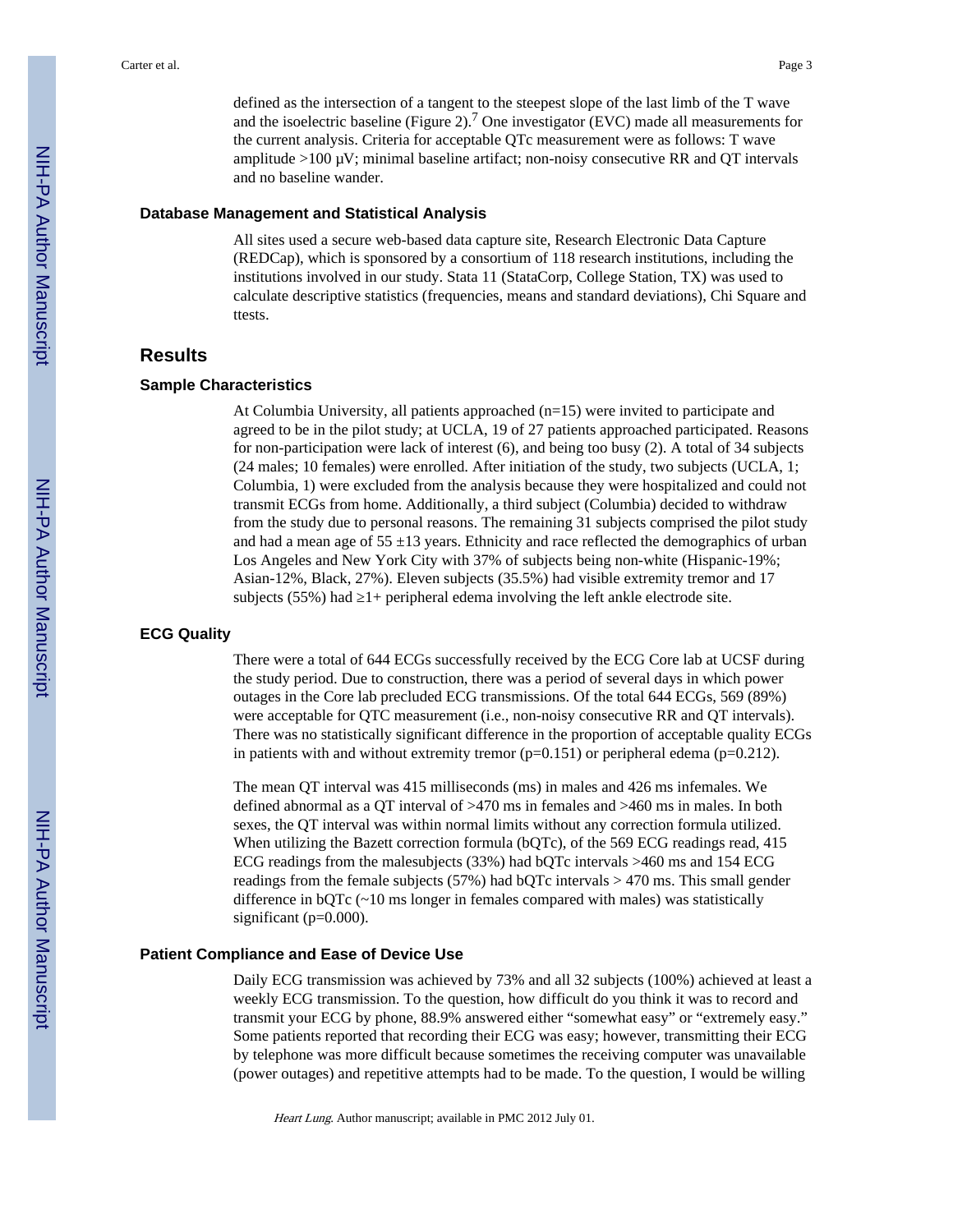defined as the intersection of a tangent to the steepest slope of the last limb of the T wave and the isoelectric baseline (Figure 2).<sup>7</sup> One investigator (EVC) made all measurements for the current analysis. Criteria for acceptable QTc measurement were as follows: T wave amplitude  $>100 \mu V$ ; minimal baseline artifact; non-noisy consecutive RR and QT intervals and no baseline wander.

#### **Database Management and Statistical Analysis**

All sites used a secure web-based data capture site, Research Electronic Data Capture (REDCap), which is sponsored by a consortium of 118 research institutions, including the institutions involved in our study. Stata 11 (StataCorp, College Station, TX) was used to calculate descriptive statistics (frequencies, means and standard deviations), Chi Square and ttests.

#### **Results**

#### **Sample Characteristics**

At Columbia University, all patients approached (n=15) were invited to participate and agreed to be in the pilot study; at UCLA, 19 of 27 patients approached participated. Reasons for non-participation were lack of interest (6), and being too busy (2). A total of 34 subjects (24 males; 10 females) were enrolled. After initiation of the study, two subjects (UCLA, 1; Columbia, 1) were excluded from the analysis because they were hospitalized and could not transmit ECGs from home. Additionally, a third subject (Columbia) decided to withdraw from the study due to personal reasons. The remaining 31 subjects comprised the pilot study and had a mean age of  $55 \pm 13$  years. Ethnicity and race reflected the demographics of urban Los Angeles and New York City with 37% of subjects being non-white (Hispanic-19%; Asian-12%, Black, 27%). Eleven subjects (35.5%) had visible extremity tremor and 17 subjects  $(55%)$  had  $1+$  peripheral edema involving the left ankle electrode site.

#### **ECG Quality**

There were a total of 644 ECGs successfully received by the ECG Core lab at UCSF during the study period. Due to construction, there was a period of several days in which power outages in the Core lab precluded ECG transmissions. Of the total 644 ECGs, 569 (89%) were acceptable for QTC measurement (i.e., non-noisy consecutive RR and QT intervals). There was no statistically significant difference in the proportion of acceptable quality ECGs in patients with and without extremity tremor  $(p=0.151)$  or peripheral edema  $(p=0.212)$ .

The mean QT interval was 415 milliseconds (ms) in males and 426 ms infemales. We defined abnormal as a QT interval of >470 ms in females and >460 ms in males. In both sexes, the QT interval was within normal limits without any correction formula utilized. When utilizing the Bazett correction formula (bQTc), of the 569 ECG readings read, 415 ECG readings from the malesubjects (33%) had bQTc intervals >460 ms and 154 ECG readings from the female subjects (57%) had bQTc intervals > 470 ms. This small gender difference in bQTc (~10 ms longer in females compared with males) was statistically significant (p=0.000).

#### **Patient Compliance and Ease of Device Use**

Daily ECG transmission was achieved by 73% and all 32 subjects (100%) achieved at least a weekly ECG transmission. To the question, how difficult do you think it was to record and transmit your ECG by phone, 88.9% answered either "somewhat easy" or "extremely easy." Some patients reported that recording their ECG was easy; however, transmitting their ECG by telephone was more difficult because sometimes the receiving computer was unavailable (power outages) and repetitive attempts had to be made. To the question, I would be willing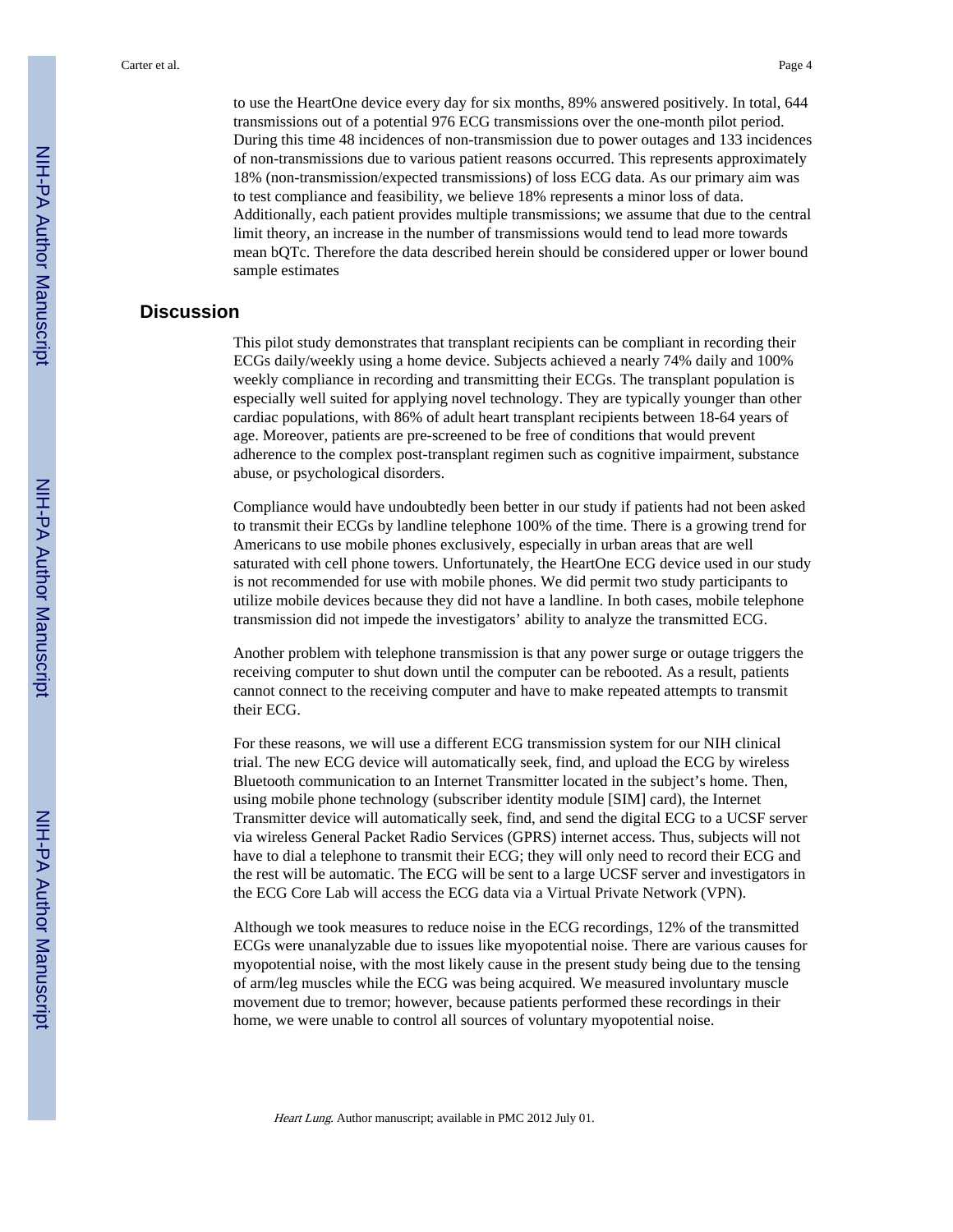to use the HeartOne device every day for six months, 89% answered positively. In total, 644 transmissions out of a potential 976 ECG transmissions over the one-month pilot period. During this time 48 incidences of non-transmission due to power outages and 133 incidences of non-transmissions due to various patient reasons occurred. This represents approximately 18% (non-transmission/expected transmissions) of loss ECG data. As our primary aim was to test compliance and feasibility, we believe 18% represents a minor loss of data. Additionally, each patient provides multiple transmissions; we assume that due to the central limit theory, an increase in the number of transmissions would tend to lead more towards mean bQTc. Therefore the data described herein should be considered upper or lower bound sample estimates

#### **Discussion**

This pilot study demonstrates that transplant recipients can be compliant in recording their ECGs daily/weekly using a home device. Subjects achieved a nearly 74% daily and 100% weekly compliance in recording and transmitting their ECGs. The transplant population is especially well suited for applying novel technology. They are typically younger than other cardiac populations, with 86% of adult heart transplant recipients between 18-64 years of age. Moreover, patients are pre-screened to be free of conditions that would prevent adherence to the complex post-transplant regimen such as cognitive impairment, substance abuse, or psychological disorders.

Compliance would have undoubtedly been better in our study if patients had not been asked to transmit their ECGs by landline telephone 100% of the time. There is a growing trend for Americans to use mobile phones exclusively, especially in urban areas that are well saturated with cell phone towers. Unfortunately, the HeartOne ECG device used in our study is not recommended for use with mobile phones. We did permit two study participants to utilize mobile devices because they did not have a landline. In both cases, mobile telephone transmission did not impede the investigators' ability to analyze the transmitted ECG.

Another problem with telephone transmission is that any power surge or outage triggers the receiving computer to shut down until the computer can be rebooted. As a result, patients cannot connect to the receiving computer and have to make repeated attempts to transmit their ECG.

For these reasons, we will use a different ECG transmission system for our NIH clinical trial. The new ECG device will automatically seek, find, and upload the ECG by wireless Bluetooth communication to an Internet Transmitter located in the subject's home. Then, using mobile phone technology (subscriber identity module [SIM] card), the Internet Transmitter device will automatically seek, find, and send the digital ECG to a UCSF server via wireless General Packet Radio Services (GPRS) internet access. Thus, subjects will not have to dial a telephone to transmit their ECG; they will only need to record their ECG and the rest will be automatic. The ECG will be sent to a large UCSF server and investigators in the ECG Core Lab will access the ECG data via a Virtual Private Network (VPN).

Although we took measures to reduce noise in the ECG recordings, 12% of the transmitted ECGs were unanalyzable due to issues like myopotential noise. There are various causes for myopotential noise, with the most likely cause in the present study being due to the tensing of arm/leg muscles while the ECG was being acquired. We measured involuntary muscle movement due to tremor; however, because patients performed these recordings in their home, we were unable to control all sources of voluntary myopotential noise.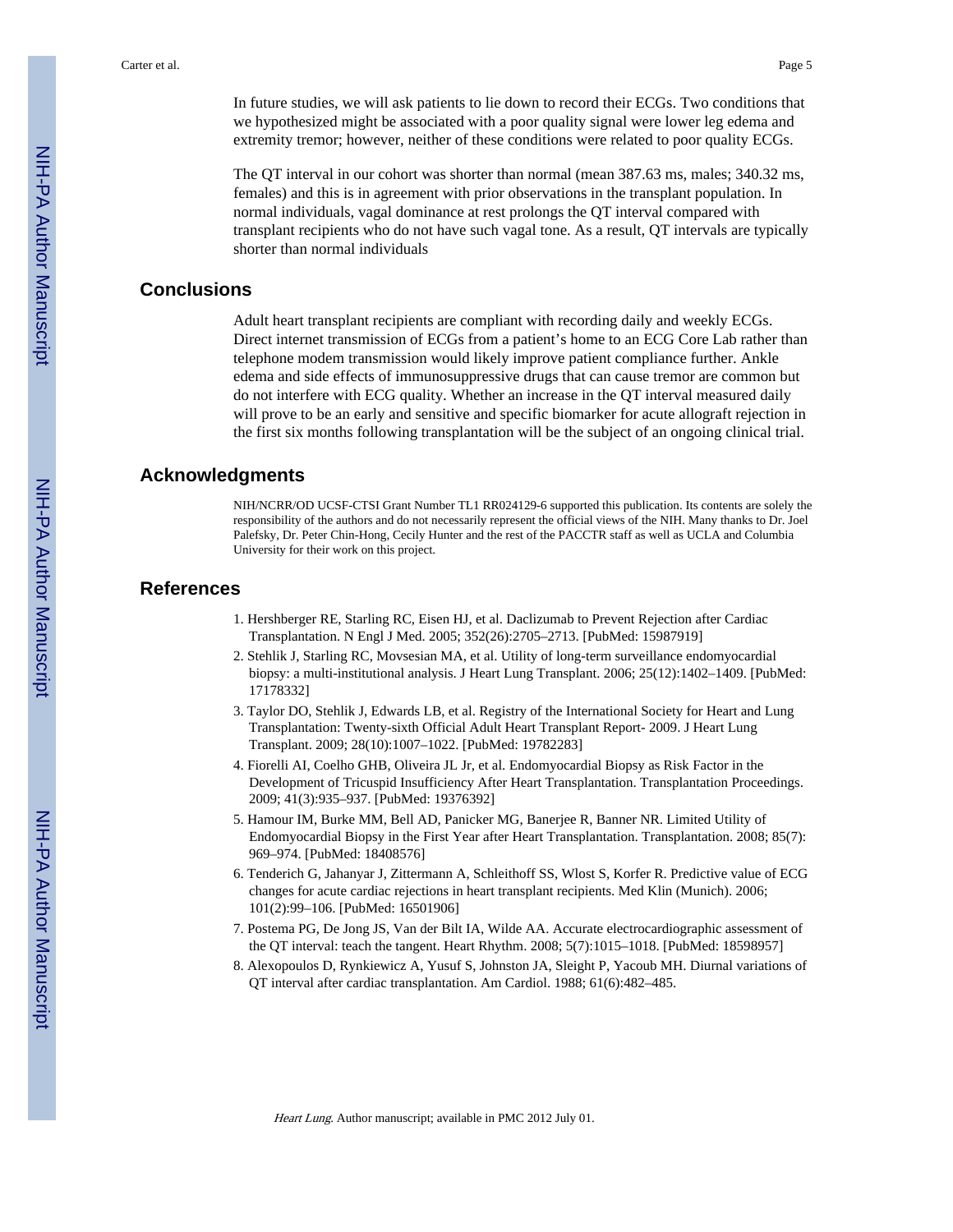In future studies, we will ask patients to lie down to record their ECGs. Two conditions that we hypothesized might be associated with a poor quality signal were lower leg edema and extremity tremor; however, neither of these conditions were related to poor quality ECGs.

The QT interval in our cohort was shorter than normal (mean 387.63 ms, males; 340.32 ms, females) and this is in agreement with prior observations in the transplant population. In normal individuals, vagal dominance at rest prolongs the QT interval compared with transplant recipients who do not have such vagal tone. As a result, QT intervals are typically shorter than normal individuals

#### **Conclusions**

Adult heart transplant recipients are compliant with recording daily and weekly ECGs. Direct internet transmission of ECGs from a patient's home to an ECG Core Lab rather than telephone modem transmission would likely improve patient compliance further. Ankle edema and side effects of immunosuppressive drugs that can cause tremor are common but do not interfere with ECG quality. Whether an increase in the QT interval measured daily will prove to be an early and sensitive and specific biomarker for acute allograft rejection in the first six months following transplantation will be the subject of an ongoing clinical trial.

#### **Acknowledgments**

NIH/NCRR/OD UCSF-CTSI Grant Number TL1 RR024129-6 supported this publication. Its contents are solely the responsibility of the authors and do not necessarily represent the official views of the NIH. Many thanks to Dr. Joel Palefsky, Dr. Peter Chin-Hong, Cecily Hunter and the rest of the PACCTR staff as well as UCLA and Columbia University for their work on this project.

#### **References**

- 1. Hershberger RE, Starling RC, Eisen HJ, et al. Daclizumab to Prevent Rejection after Cardiac Transplantation. N Engl J Med. 2005; 352(26):2705–2713. [PubMed: 15987919]
- 2. Stehlik J, Starling RC, Movsesian MA, et al. Utility of long-term surveillance endomyocardial biopsy: a multi-institutional analysis. J Heart Lung Transplant. 2006; 25(12):1402–1409. [PubMed: 17178332]
- 3. Taylor DO, Stehlik J, Edwards LB, et al. Registry of the International Society for Heart and Lung Transplantation: Twenty-sixth Official Adult Heart Transplant Report- 2009. J Heart Lung Transplant. 2009; 28(10):1007–1022. [PubMed: 19782283]
- 4. Fiorelli AI, Coelho GHB, Oliveira JL Jr, et al. Endomyocardial Biopsy as Risk Factor in the Development of Tricuspid Insufficiency After Heart Transplantation. Transplantation Proceedings. 2009; 41(3):935–937. [PubMed: 19376392]
- 5. Hamour IM, Burke MM, Bell AD, Panicker MG, Banerjee R, Banner NR. Limited Utility of Endomyocardial Biopsy in the First Year after Heart Transplantation. Transplantation. 2008; 85(7): 969–974. [PubMed: 18408576]
- 6. Tenderich G, Jahanyar J, Zittermann A, Schleithoff SS, Wlost S, Korfer R. Predictive value of ECG changes for acute cardiac rejections in heart transplant recipients. Med Klin (Munich). 2006; 101(2):99–106. [PubMed: 16501906]
- 7. Postema PG, De Jong JS, Van der Bilt IA, Wilde AA. Accurate electrocardiographic assessment of the QT interval: teach the tangent. Heart Rhythm. 2008; 5(7):1015–1018. [PubMed: 18598957]
- 8. Alexopoulos D, Rynkiewicz A, Yusuf S, Johnston JA, Sleight P, Yacoub MH. Diurnal variations of QT interval after cardiac transplantation. Am Cardiol. 1988; 61(6):482–485.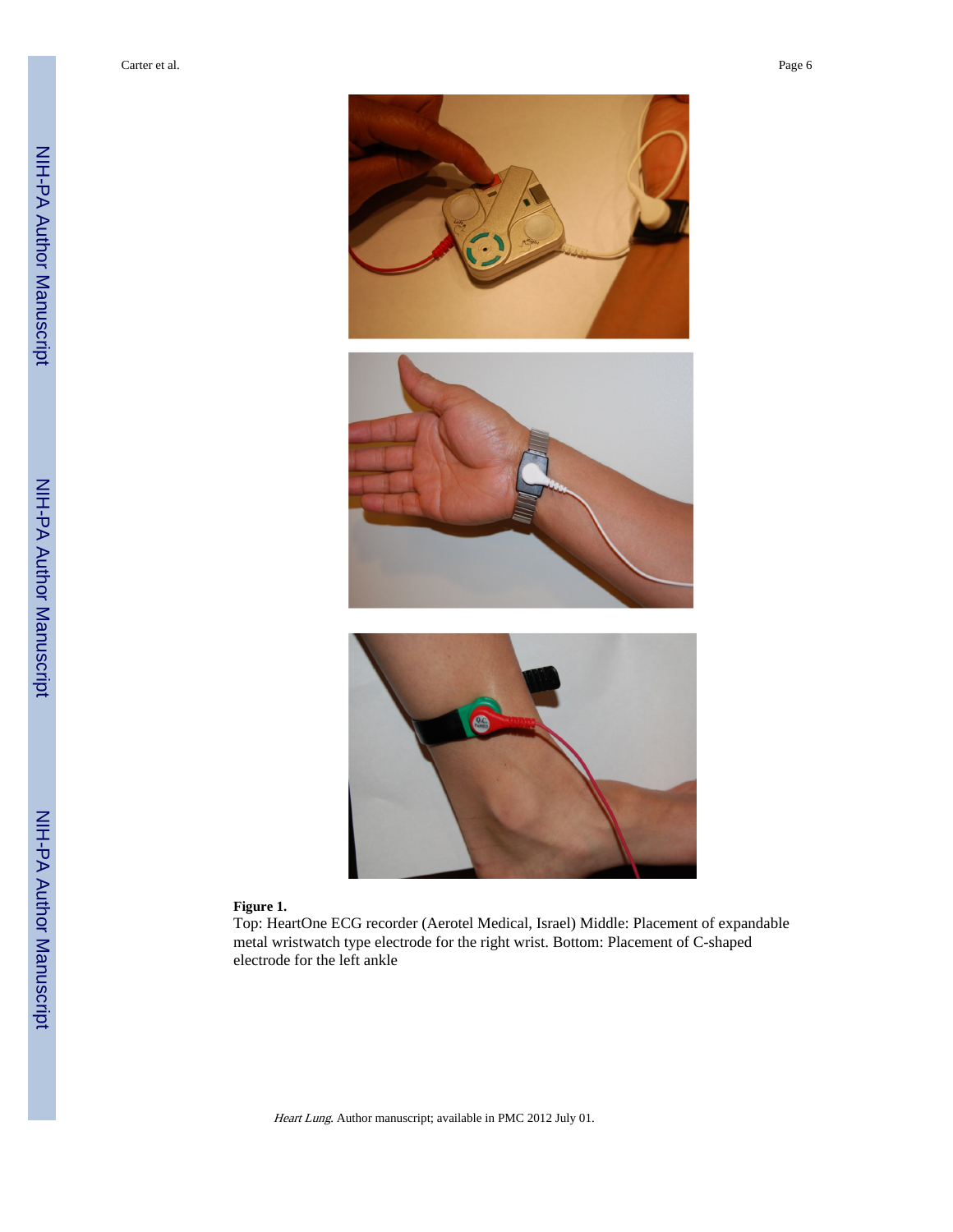



#### **Figure 1.**

Top: HeartOne ECG recorder (Aerotel Medical, Israel) Middle: Placement of expandable metal wristwatch type electrode for the right wrist. Bottom: Placement of C-shaped electrode for the left ankle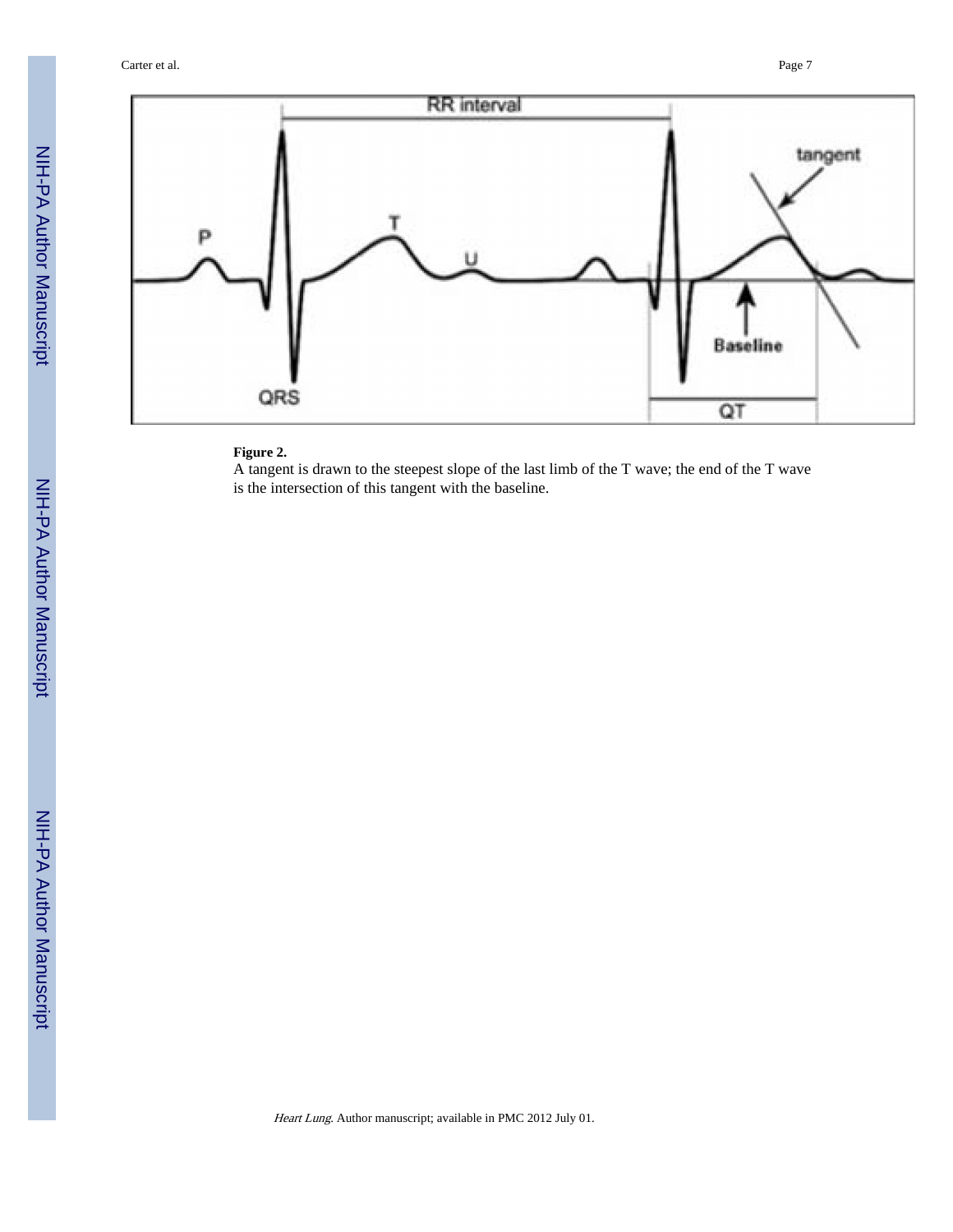Carter et al. Page 7



#### **Figure 2.**

A tangent is drawn to the steepest slope of the last limb of the T wave; the end of the T wave is the intersection of this tangent with the baseline.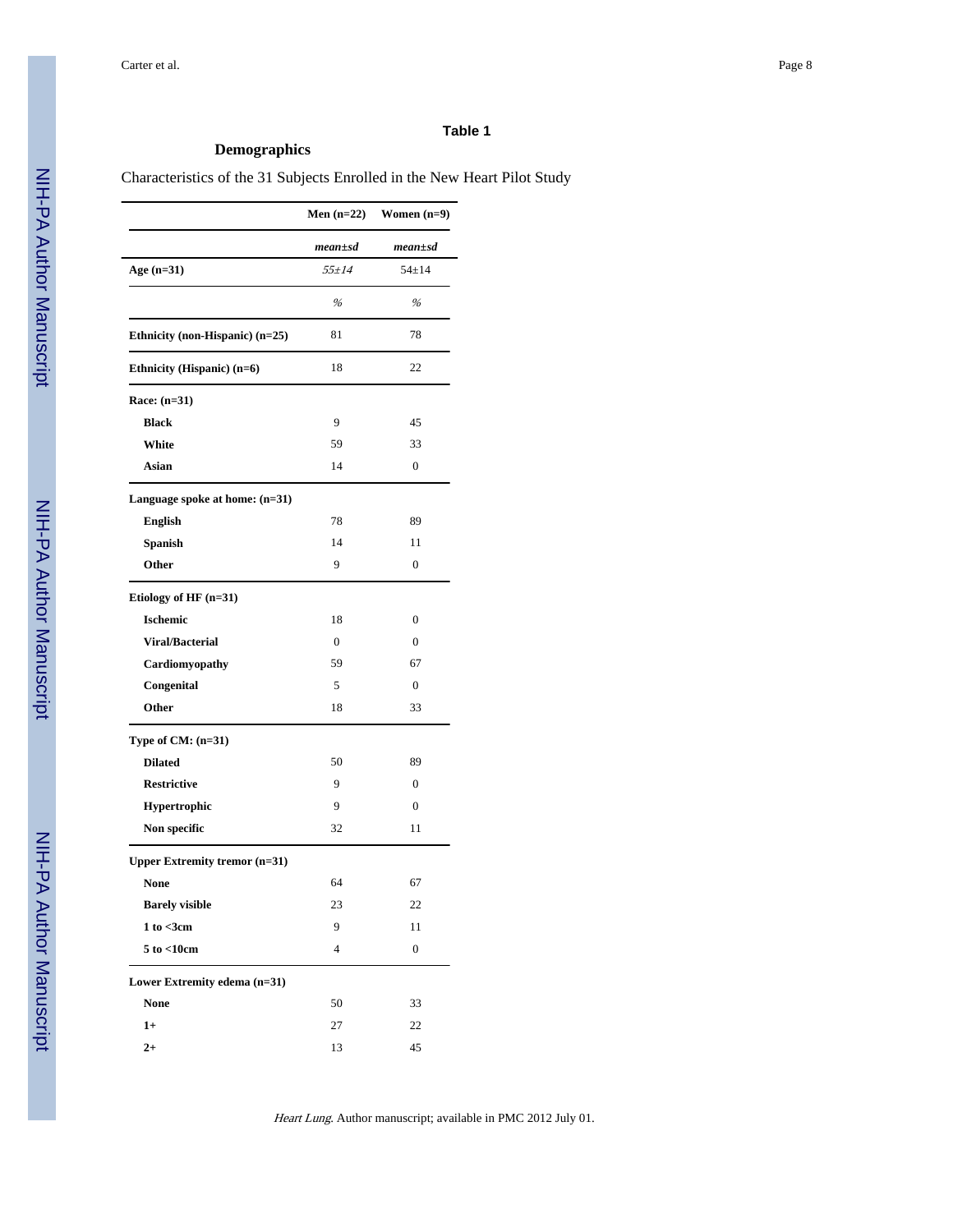#### **Table 1**

#### **Demographics**

#### Characteristics of the 31 Subjects Enrolled in the New Heart Pilot Study

|                                      | Men $(n=22)$  | Women $(n=9)$    |
|--------------------------------------|---------------|------------------|
|                                      | $mean \pm sd$ | $mean \pm sd$    |
| Age (n=31)                           | $55 \pm 14$   | $54 \pm 14$      |
|                                      | %             | %                |
| Ethnicity (non-Hispanic) (n=25)      | 81            | 78               |
| Ethnicity (Hispanic) (n=6)           | 18            | 22               |
| Race: $(n=31)$                       |               |                  |
| <b>Black</b>                         | 9             | 45               |
| White                                | 59            | 33               |
| Asian                                | 14            | $\mathbf{0}$     |
| Language spoke at home: $(n=31)$     |               |                  |
| English                              | 78            | 89               |
| Spanish                              | 14            | 11               |
| Other                                | 9             | $\mathbf{0}$     |
| Etiology of HF (n=31)                |               |                  |
| <b>Ischemic</b>                      | 18            | 0                |
| <b>Viral/Bacterial</b>               | $\mathbf{0}$  | $\mathbf{0}$     |
| Cardiomyopathy                       | 59            | 67               |
| Congenital                           | 5             | $\overline{0}$   |
| Other                                | 18            | 33               |
| Type of $CM: (n=31)$                 |               |                  |
| <b>Dilated</b>                       | 50            | 89               |
| <b>Restrictive</b>                   | 9             | $\mathbf{0}$     |
| Hypertrophic                         | 9             | 0                |
| <b>Non specific</b>                  | 32            | 11               |
| <b>Upper Extremity tremor (n=31)</b> |               |                  |
| <b>None</b>                          | 64            | 67               |
| <b>Barely visible</b>                | 23            | 22               |
| 1 to < 3cm                           | 9             | 11               |
| $5$ to $<$ 10cm                      | 4             | $\boldsymbol{0}$ |
| Lower Extremity edema (n=31)         |               |                  |
| <b>None</b>                          | 50            | 33               |
| $1+$                                 | 27            | 22               |
| $2+$                                 | 13            | 45               |